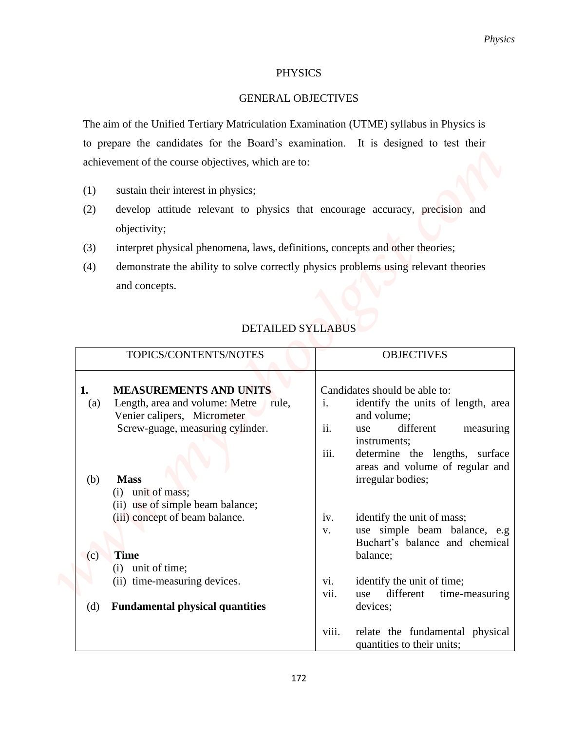## **PHYSICS**

## GENERAL OBJECTIVES

- (1) sustain their interest in physics;
- (2) develop attitude relevant to physics that encourage accuracy, precision and objectivity;
- (3) interpret physical phenomena, laws, definitions, concepts and other theories;
- (4) demonstrate the ability to solve correctly physics problems using relevant theories and concepts.

## DETAILED SYLLABUS

|                                                                                                    |       | Physics                                                       |
|----------------------------------------------------------------------------------------------------|-------|---------------------------------------------------------------|
| <b>PHYSICS</b>                                                                                     |       |                                                               |
| <b>GENERAL OBJECTIVES</b>                                                                          |       |                                                               |
| The aim of the Unified Tertiary Matriculation Examination (UTME) syllabus in Physics is            |       |                                                               |
| to prepare the candidates for the Board's examination. It is designed to test their                |       |                                                               |
| achievement of the course objectives, which are to:                                                |       |                                                               |
| sustain their interest in physics;<br>(1)                                                          |       |                                                               |
| develop attitude relevant to physics that encourage accuracy, precision and<br>(2)<br>objectivity; |       |                                                               |
| interpret physical phenomena, laws, definitions, concepts and other theories;<br>(3)               |       |                                                               |
| demonstrate the ability to solve correctly physics problems using relevant theories<br>(4)         |       |                                                               |
| and concepts.                                                                                      |       |                                                               |
| TOPICS/CONTENTS/NOTES                                                                              |       | <b>OBJECTIVES</b>                                             |
| <b>MEASUREMENTS AND UNITS</b><br>ı.                                                                |       | Candidates should be able to:                                 |
| Length, area and volume: Metre rule,<br>$\left( a\right)$<br>Venier calipers, Micrometer           | i.    | identify the units of length, area<br>and volume;             |
| Screw-guage, measuring cylinder.                                                                   | ii.   | different<br>measuring<br>use                                 |
|                                                                                                    | iii.  | instruments;<br>determine the lengths, surface                |
| <b>Mass</b><br>(b)                                                                                 |       | areas and volume of regular and<br>irregular bodies;          |
| unit of mass;<br>$\left( 1\right)$                                                                 |       |                                                               |
| (ii) use of simple beam balance;<br>(iii) concept of beam balance.                                 | iv.   | identify the unit of mass;                                    |
|                                                                                                    | V.    | use simple beam balance, e.g                                  |
| <b>Time</b><br>(c)                                                                                 |       | Buchart's balance and chemical<br>balance;                    |
| unit of time;<br>(i)<br>(ii) time-measuring devices.                                               | vi.   | identify the unit of time;                                    |
|                                                                                                    | vii.  | different<br>time-measuring<br>use                            |
| <b>Fundamental physical quantities</b><br>(d)                                                      |       | devices;                                                      |
|                                                                                                    | viii. | relate the fundamental physical<br>quantities to their units; |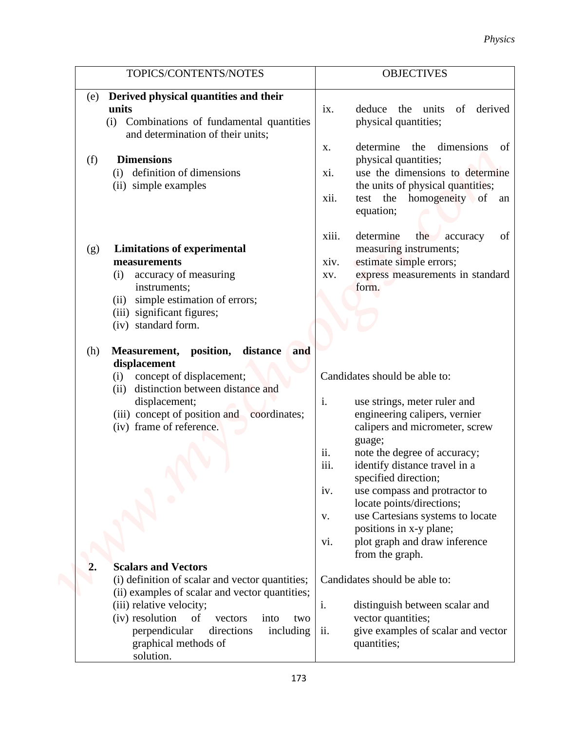|                                                                                    | <b>Physics</b>                                                  |
|------------------------------------------------------------------------------------|-----------------------------------------------------------------|
| TOPICS/CONTENTS/NOTES                                                              | <b>OBJECTIVES</b>                                               |
|                                                                                    |                                                                 |
| Derived physical quantities and their<br>(e)<br>units                              | of<br>derived<br>the units                                      |
| Combinations of fundamental quantities<br>(i)<br>and determination of their units; | deduce<br>$\overline{1}X$ .<br>physical quantities;             |
|                                                                                    | determine the dimensions<br>of<br>X.                            |
| <b>Dimensions</b><br>(f)                                                           | physical quantities;                                            |
| definition of dimensions<br>(i)                                                    | use the dimensions to determine<br>XI.                          |
| (ii) simple examples                                                               | the units of physical quantities;                               |
|                                                                                    | xii.<br>test the homogeneity of an<br>equation;                 |
|                                                                                    | xiii.<br>determine<br>the<br>accuracy<br>of                     |
| <b>Limitations of experimental</b><br>(g)                                          | measuring instruments;                                          |
| measurements                                                                       | estimate simple errors;<br>xiv.                                 |
| accuracy of measuring<br>(i)                                                       | express measurements in standard<br>XV.                         |
| instruments;                                                                       | form.                                                           |
| simple estimation of errors;<br>(ii)                                               |                                                                 |
| (iii) significant figures;                                                         |                                                                 |
| (iv) standard form.                                                                |                                                                 |
| Measurement, position,<br>distance<br>and<br>(h)                                   |                                                                 |
| displacement                                                                       |                                                                 |
| (i) concept of displacement;                                                       | Candidates should be able to:                                   |
| (ii) distinction between distance and                                              |                                                                 |
| displacement;                                                                      | i.<br>use strings, meter ruler and                              |
| (iii) concept of position and coordinates;<br>(iv) frame of reference.             | engineering calipers, vernier<br>calipers and micrometer, screw |
|                                                                                    | guage;                                                          |
|                                                                                    | ii.<br>note the degree of accuracy;                             |
|                                                                                    | iii.<br>identify distance travel in a                           |
|                                                                                    | specified direction;                                            |
|                                                                                    | use compass and protractor to<br>iv.                            |
|                                                                                    | locate points/directions;                                       |
|                                                                                    | use Cartesians systems to locate<br>V.                          |
|                                                                                    | positions in x-y plane;                                         |
|                                                                                    | plot graph and draw inference<br>vi.<br>from the graph.         |
| <b>Scalars and Vectors</b><br>2.                                                   |                                                                 |
| (i) definition of scalar and vector quantities;                                    | Candidates should be able to:                                   |
| (ii) examples of scalar and vector quantities;                                     |                                                                 |
| (iii) relative velocity;                                                           | i.<br>distinguish between scalar and                            |
| (iv) resolution<br>of<br>vectors<br>into<br>two                                    | vector quantities;                                              |
| perpendicular<br>directions<br>including                                           | ii.<br>give examples of scalar and vector                       |
| graphical methods of                                                               | quantities;                                                     |
| solution.                                                                          |                                                                 |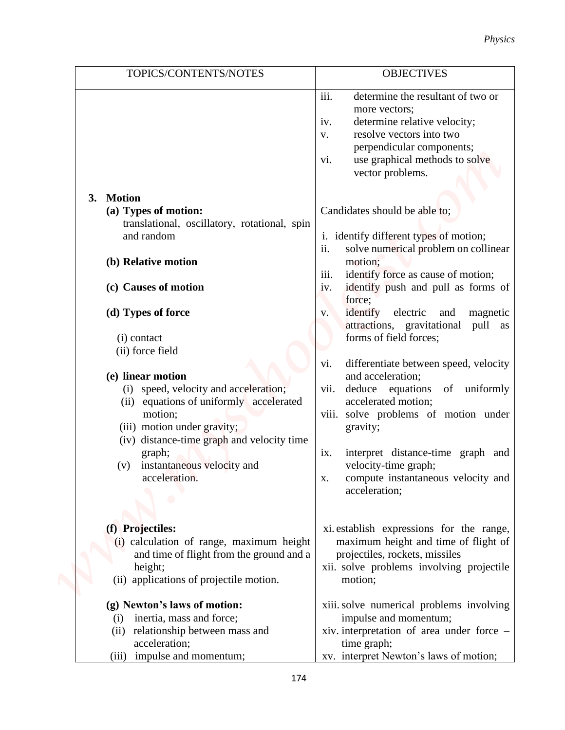|                                                              | <b>Physics</b>                                                                        |
|--------------------------------------------------------------|---------------------------------------------------------------------------------------|
| TOPICS/CONTENTS/NOTES                                        | <b>OBJECTIVES</b>                                                                     |
|                                                              | iii.<br>determine the resultant of two or                                             |
|                                                              | more vectors;                                                                         |
|                                                              | determine relative velocity;<br>iv.<br>resolve vectors into two                       |
|                                                              | V.<br>perpendicular components;                                                       |
|                                                              | use graphical methods to solve<br>vi.                                                 |
|                                                              | vector problems.                                                                      |
|                                                              |                                                                                       |
| <b>Motion</b><br>3.                                          |                                                                                       |
| (a) Types of motion:                                         | Candidates should be able to;                                                         |
| translational, oscillatory, rotational, spin                 |                                                                                       |
| and random                                                   | i. identify different types of motion;<br>ii.<br>solve numerical problem on collinear |
| (b) Relative motion                                          | motion;                                                                               |
|                                                              | iii.<br>identify force as cause of motion;                                            |
| (c) Causes of motion                                         | identify push and pull as forms of<br>iv.                                             |
|                                                              | force;                                                                                |
| (d) Types of force                                           | identify<br>electric<br>magnetic<br>and<br>V <sub>1</sub>                             |
|                                                              | attractions, gravitational<br>pull as                                                 |
| (i) contact                                                  | forms of field forces;                                                                |
| (ii) force field                                             | differentiate between speed, velocity<br>vi.                                          |
| (e) linear motion                                            | and acceleration;                                                                     |
| (i) speed, velocity and acceleration;                        | vii. deduce equations of uniformly                                                    |
| equations of uniformly accelerated<br>(i)                    | accelerated motion;                                                                   |
| motion;                                                      | viii. solve problems of motion under                                                  |
| (iii) motion under gravity;                                  | gravity;                                                                              |
| (iv) distance-time graph and velocity time                   |                                                                                       |
| graph;<br>instantaneous velocity and<br>(v)                  | interpret distance-time graph and<br>ix.<br>velocity-time graph;                      |
| acceleration.                                                | compute instantaneous velocity and<br>X.                                              |
|                                                              | acceleration;                                                                         |
|                                                              |                                                                                       |
|                                                              |                                                                                       |
| (f) Projectiles:<br>(i) calculation of range, maximum height | xi establish expressions for the range,<br>maximum height and time of flight of       |
| and time of flight from the ground and a                     | projectiles, rockets, missiles                                                        |
| height;                                                      | xii. solve problems involving projectile                                              |
| (ii) applications of projectile motion.                      | motion;                                                                               |
| (g) Newton's laws of motion:                                 | xiii. solve numerical problems involving                                              |
| inertia, mass and force;<br>(i)                              | impulse and momentum;                                                                 |
| relationship between mass and<br>(ii)                        | xiv. interpretation of area under force -                                             |
| acceleration;                                                | time graph;                                                                           |
| (iii) impulse and momentum;                                  | xv. interpret Newton's laws of motion;                                                |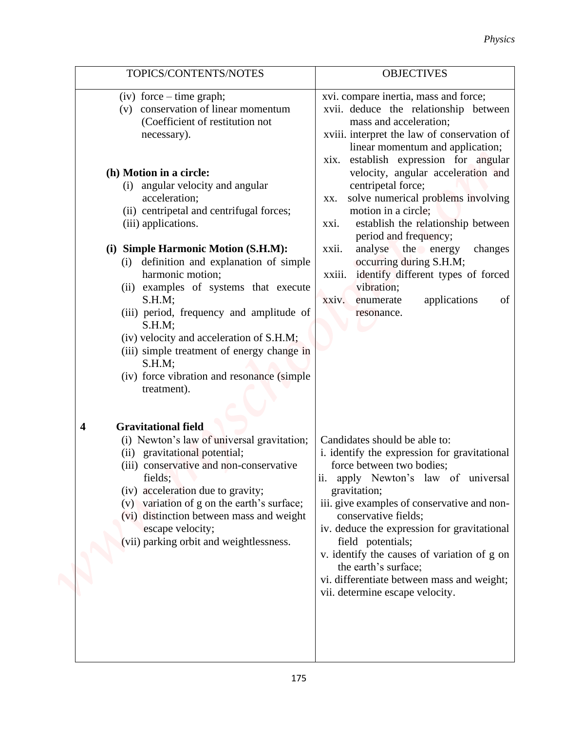|                                                                                                                                                                                                                                                                                                                                                                                                                                                                                                                                                                                                                                                                                | <b>Physics</b>                                                                                                                                                                                                                                                                                                                                                                                                                                                                                                                                                                                                                              |
|--------------------------------------------------------------------------------------------------------------------------------------------------------------------------------------------------------------------------------------------------------------------------------------------------------------------------------------------------------------------------------------------------------------------------------------------------------------------------------------------------------------------------------------------------------------------------------------------------------------------------------------------------------------------------------|---------------------------------------------------------------------------------------------------------------------------------------------------------------------------------------------------------------------------------------------------------------------------------------------------------------------------------------------------------------------------------------------------------------------------------------------------------------------------------------------------------------------------------------------------------------------------------------------------------------------------------------------|
| TOPICS/CONTENTS/NOTES                                                                                                                                                                                                                                                                                                                                                                                                                                                                                                                                                                                                                                                          | <b>OBJECTIVES</b>                                                                                                                                                                                                                                                                                                                                                                                                                                                                                                                                                                                                                           |
| $(iv)$ force – time graph;<br>(v) conservation of linear momentum<br>(Coefficient of restitution not<br>necessary).<br>(h) Motion in a circle:<br>angular velocity and angular<br>(i)<br>acceleration;<br>(ii) centripetal and centrifugal forces;<br>(iii) applications.<br>(i) Simple Harmonic Motion (S.H.M):<br>definition and explanation of simple<br>$\left( 1\right)$<br>harmonic motion;<br>(ii) examples of systems that execute<br>S.H.M;<br>(iii) period, frequency and amplitude of<br>S.H.M;<br>(iv) velocity and acceleration of S.H.M;<br>(iii) simple treatment of energy change in<br>$S.H.M$ :<br>(iv) force vibration and resonance (simple<br>treatment). | xvi. compare inertia, mass and force;<br>xvii. deduce the relationship between<br>mass and acceleration;<br>xviii. interpret the law of conservation of<br>linear momentum and application;<br>establish expression for angular<br>XIX.<br>velocity, angular acceleration and<br>centripetal force;<br>solve numerical problems involving<br>XX.<br>motion in a circle;<br>establish the relationship between<br>xxi.<br>period and frequency;<br>analyse the energy<br>changes<br>xxii.<br>occurring during S.H.M;<br>identify different types of forced<br>xxiii.<br>vibration;<br>applications<br>of<br>xxiv.<br>enumerate<br>resonance. |
| <b>Gravitational field</b><br>4<br>(i) Newton's law of universal gravitation;<br>(ii) gravitational potential;<br>(iii) conservative and non-conservative<br>fields;<br>(iv) acceleration due to gravity;<br>(v) variation of g on the earth's surface;<br>(vi) distinction between mass and weight<br>escape velocity;<br>(vii) parking orbit and weightlessness.                                                                                                                                                                                                                                                                                                             | Candidates should be able to:<br>i. identify the expression for gravitational<br>force between two bodies;<br>apply Newton's law of universal<br>ii.<br>gravitation;<br>iii. give examples of conservative and non-<br>conservative fields;<br>iv. deduce the expression for gravitational<br>field potentials;<br>v. identify the causes of variation of g on<br>the earth's surface;<br>vi. differentiate between mass and weight;<br>vii. determine escape velocity.                                                                                                                                                                     |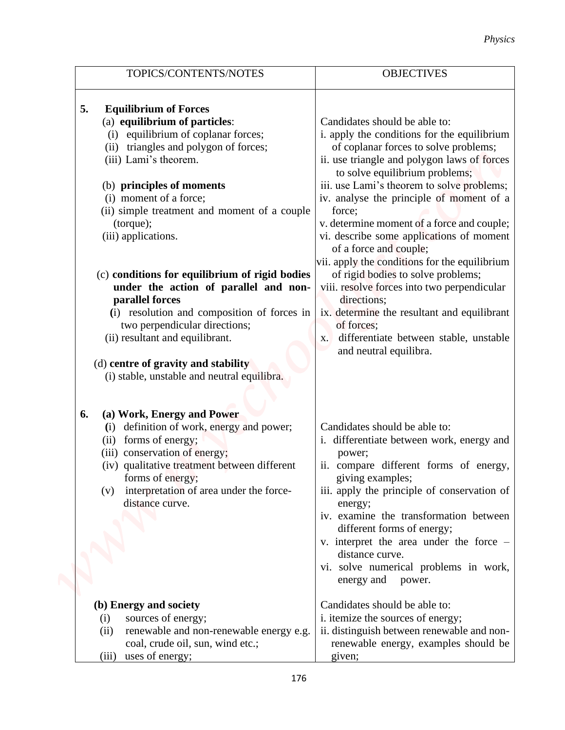|                                                                               | <b>Physics</b>                                                         |
|-------------------------------------------------------------------------------|------------------------------------------------------------------------|
| TOPICS/CONTENTS/NOTES                                                         | <b>OBJECTIVES</b>                                                      |
| <b>Equilibrium of Forces</b><br>5.                                            |                                                                        |
| (a) equilibrium of particles:                                                 | Candidates should be able to:                                          |
| equilibrium of coplanar forces;<br>(i)                                        | i. apply the conditions for the equilibrium                            |
| triangles and polygon of forces;<br>(ii)                                      | of coplanar forces to solve problems;                                  |
| (iii) Lami's theorem.                                                         | ii. use triangle and polygon laws of forces                            |
|                                                                               | to solve equilibrium problems;                                         |
| (b) principles of moments                                                     | iii. use Lami's theorem to solve problems;                             |
| (i) moment of a force;                                                        | iv. analyse the principle of moment of a                               |
| (ii) simple treatment and moment of a couple                                  | force;                                                                 |
| (torque);                                                                     | v. determine moment of a force and couple;                             |
| (iii) applications.                                                           | vi. describe some applications of moment<br>of a force and couple;     |
|                                                                               | vii. apply the conditions for the equilibrium                          |
| (c) conditions for equilibrium of rigid bodies                                | of rigid bodies to solve problems;                                     |
| under the action of parallel and non-                                         | viii. resolve forces into two perpendicular                            |
| parallel forces<br>(i) resolution and composition of forces in                | directions;<br>ix. determine the resultant and equilibrant             |
| two perpendicular directions;                                                 | of forces;                                                             |
| (ii) resultant and equilibrant.                                               | differentiate between stable, unstable<br>X.<br>and neutral equilibra. |
| (d) centre of gravity and stability                                           |                                                                        |
| (i) stable, unstable and neutral equilibra.                                   |                                                                        |
|                                                                               |                                                                        |
|                                                                               |                                                                        |
| (a) Work, Energy and Power<br>6.                                              |                                                                        |
| (i) definition of work, energy and power;                                     | Candidates should be able to:                                          |
| (ii) forms of energy;                                                         | i. differentiate between work, energy and                              |
| (iii) conservation of energy;<br>(iv) qualitative treatment between different | power;<br>ii. compare different forms of energy,                       |
| forms of energy;                                                              | giving examples;                                                       |
| (v) interpretation of area under the force-                                   | iii. apply the principle of conservation of                            |
| distance curve.                                                               | energy;                                                                |
|                                                                               | iv. examine the transformation between                                 |
|                                                                               | different forms of energy;                                             |
|                                                                               | v. interpret the area under the force –                                |
|                                                                               | distance curve.                                                        |
|                                                                               | vi. solve numerical problems in work,                                  |
|                                                                               | energy and<br>power.                                                   |
| (b) Energy and society                                                        | Candidates should be able to:                                          |
| sources of energy;<br>(i)                                                     | i. itemize the sources of energy;                                      |
| renewable and non-renewable energy e.g.<br>(ii)                               | ii. distinguish between renewable and non-                             |
| coal, crude oil, sun, wind etc.;                                              | renewable energy, examples should be                                   |
| uses of energy;<br>(iii)                                                      | given;                                                                 |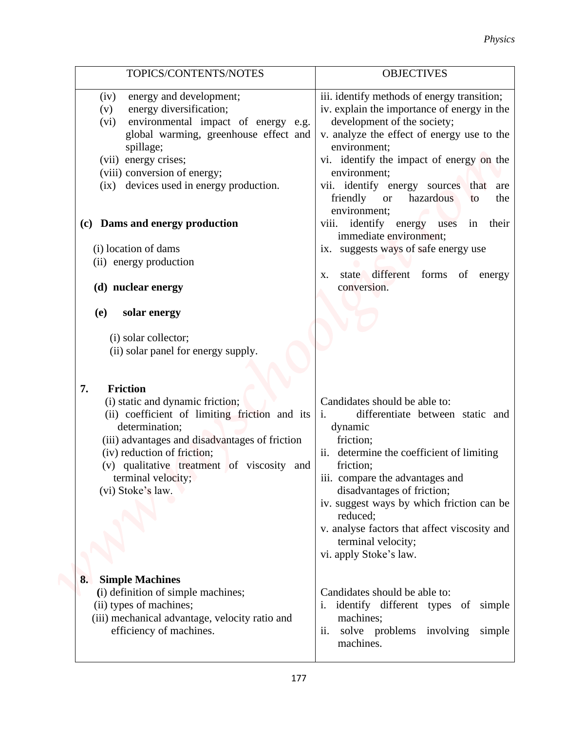|                                                                                                                                                                                                                                                                                                        | <b>Physics</b>                                                                                                                                                                                                                                                                                                                                                                                  |
|--------------------------------------------------------------------------------------------------------------------------------------------------------------------------------------------------------------------------------------------------------------------------------------------------------|-------------------------------------------------------------------------------------------------------------------------------------------------------------------------------------------------------------------------------------------------------------------------------------------------------------------------------------------------------------------------------------------------|
| TOPICS/CONTENTS/NOTES                                                                                                                                                                                                                                                                                  | <b>OBJECTIVES</b>                                                                                                                                                                                                                                                                                                                                                                               |
| energy and development;<br>(iv)<br>energy diversification;<br>(v)<br>environmental impact of energy e.g.<br>(vi)<br>global warming, greenhouse effect and<br>spillage;<br>(vii) energy crises;<br>(viii) conversion of energy;<br>(ix) devices used in energy production.                              | iii. identify methods of energy transition;<br>iv. explain the importance of energy in the<br>development of the society;<br>v. analyze the effect of energy use to the<br>environment;<br>vi. identify the impact of energy on the<br>environment;<br>vii. identify energy sources that are<br>friendly<br>hazardous<br>the<br><b>or</b><br>to<br>environment;                                 |
| (c) Dams and energy production<br>(i) location of dams                                                                                                                                                                                                                                                 | identify energy uses<br>in their<br>viii.<br>immediate environment;<br>ix. suggests ways of safe energy use                                                                                                                                                                                                                                                                                     |
| (ii) energy production<br>(d) nuclear energy                                                                                                                                                                                                                                                           | state different forms of<br>energy<br>X.<br>conversion.                                                                                                                                                                                                                                                                                                                                         |
| solar energy<br>(e)<br>(i) solar collector;<br>(ii) solar panel for energy supply.                                                                                                                                                                                                                     |                                                                                                                                                                                                                                                                                                                                                                                                 |
| 7.<br><b>Friction</b><br>(i) static and dynamic friction;<br>(ii) coefficient of limiting friction and its<br>determination;<br>(iii) advantages and disadvantages of friction<br>(iv) reduction of friction;<br>(v) qualitative treatment of viscosity and<br>terminal velocity;<br>(vi) Stoke's law. | Candidates should be able to:<br>$\mathbf{i}$ .<br>differentiate between static and<br>dynamic<br>friction;<br>ii. determine the coefficient of limiting<br>friction;<br>iii. compare the advantages and<br>disadvantages of friction;<br>iv. suggest ways by which friction can be<br>reduced;<br>v. analyse factors that affect viscosity and<br>terminal velocity;<br>vi. apply Stoke's law. |
| <b>Simple Machines</b><br>8.<br>(i) definition of simple machines;<br>(ii) types of machines;<br>(iii) mechanical advantage, velocity ratio and<br>efficiency of machines.                                                                                                                             | Candidates should be able to:<br>i. identify different types of simple<br>machines;<br>ii. solve problems involving simple<br>machines.                                                                                                                                                                                                                                                         |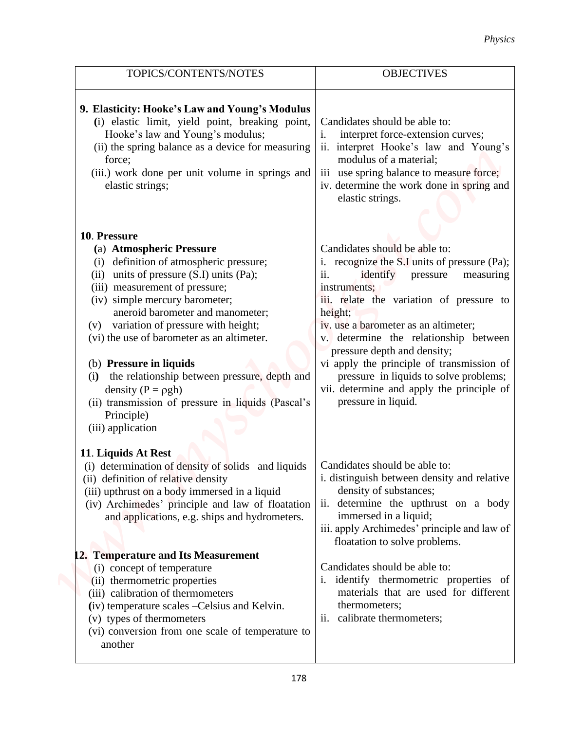|                                                                                                                                                                                                                                                                                                                                                                                                                                                                                                                                                 | <b>Physics</b>                                                                                                                                                                                                                                                                                                                                                                                                                                                           |
|-------------------------------------------------------------------------------------------------------------------------------------------------------------------------------------------------------------------------------------------------------------------------------------------------------------------------------------------------------------------------------------------------------------------------------------------------------------------------------------------------------------------------------------------------|--------------------------------------------------------------------------------------------------------------------------------------------------------------------------------------------------------------------------------------------------------------------------------------------------------------------------------------------------------------------------------------------------------------------------------------------------------------------------|
| TOPICS/CONTENTS/NOTES                                                                                                                                                                                                                                                                                                                                                                                                                                                                                                                           | <b>OBJECTIVES</b>                                                                                                                                                                                                                                                                                                                                                                                                                                                        |
| 9. Elasticity: Hooke's Law and Young's Modulus<br>(i) elastic limit, yield point, breaking point,<br>Hooke's law and Young's modulus;<br>(ii) the spring balance as a device for measuring<br>force;<br>(iii.) work done per unit volume in springs and<br>elastic strings;                                                                                                                                                                                                                                                                     | Candidates should be able to:<br>interpret force-extension curves;<br>1.<br>interpret Hooke's law and Young's<br>$\overline{11}$ .<br>modulus of a material;<br>iii use spring balance to measure force;<br>iv. determine the work done in spring and<br>elastic strings.                                                                                                                                                                                                |
| 10. Pressure<br>(a) Atmospheric Pressure<br>(i) definition of atmospheric pressure;<br>units of pressure $(S.I)$ units $(Pa)$ ;<br>(ii)<br>(iii) measurement of pressure;<br>(iv) simple mercury barometer;<br>aneroid barometer and manometer;<br>(v) variation of pressure with height;<br>(vi) the use of barometer as an altimeter.<br>(b) Pressure in liquids<br>the relationship between pressure, depth and<br>(i)<br>density ( $P = \rho gh$ )<br>(ii) transmission of pressure in liquids (Pascal's<br>Principle)<br>(iii) application | Candidates should be able to:<br>recognize the S.I units of pressure (Pa);<br>ii.<br>identify<br>pressure<br>measuring<br>instruments;<br>iii. relate the variation of pressure to<br>height;<br>iv. use a barometer as an altimeter;<br>v. determine the relationship between<br>pressure depth and density;<br>vi apply the principle of transmission of<br>pressure in liquids to solve problems;<br>vii. determine and apply the principle of<br>pressure in liquid. |
| 11. Liquids At Rest<br>(i) determination of density of solids and liquids<br>(ii) definition of relative density<br>(iii) upthrust on a body immersed in a liquid<br>(iv) Archimedes' principle and law of floatation<br>and applications, e.g. ships and hydrometers.                                                                                                                                                                                                                                                                          | Candidates should be able to:<br>i. distinguish between density and relative<br>density of substances;<br>determine the upthrust on a body<br>$\overline{11}$ .<br>immersed in a liquid;<br>iii. apply Archimedes' principle and law of<br>floatation to solve problems.                                                                                                                                                                                                 |
| 12. Temperature and Its Measurement<br>(i) concept of temperature<br>(ii) thermometric properties<br>(iii) calibration of thermometers<br>(iv) temperature scales - Celsius and Kelvin.<br>(v) types of thermometers<br>(vi) conversion from one scale of temperature to<br>another                                                                                                                                                                                                                                                             | Candidates should be able to:<br>i. identify thermometric properties of<br>materials that are used for different<br>thermometers;<br>ii. calibrate thermometers;                                                                                                                                                                                                                                                                                                         |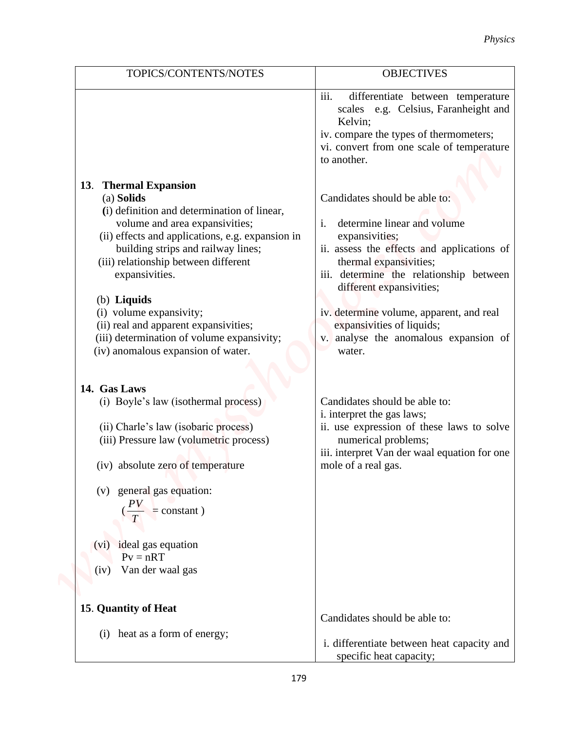|                                                                                                                                                                                                                                                                                                                                                                                                                                                                                                         | <b>Physics</b>                                                                                                                                                                                                                                                                                                                                                                                                                                                                                                                                                                                                                       |
|---------------------------------------------------------------------------------------------------------------------------------------------------------------------------------------------------------------------------------------------------------------------------------------------------------------------------------------------------------------------------------------------------------------------------------------------------------------------------------------------------------|--------------------------------------------------------------------------------------------------------------------------------------------------------------------------------------------------------------------------------------------------------------------------------------------------------------------------------------------------------------------------------------------------------------------------------------------------------------------------------------------------------------------------------------------------------------------------------------------------------------------------------------|
| TOPICS/CONTENTS/NOTES                                                                                                                                                                                                                                                                                                                                                                                                                                                                                   | <b>OBJECTIVES</b>                                                                                                                                                                                                                                                                                                                                                                                                                                                                                                                                                                                                                    |
| 13. Thermal Expansion<br>(a) Solids<br>(i) definition and determination of linear,<br>volume and area expansivities;<br>(ii) effects and applications, e.g. expansion in<br>building strips and railway lines;<br>(iii) relationship between different<br>expansivities.<br>(b) Liquids<br>(i) volume expansivity;<br>(ii) real and apparent expansivities;<br>(iii) determination of volume expansivity;<br>(iv) anomalous expansion of water.<br>14. Gas Laws<br>(i) Boyle's law (isothermal process) | iii.<br>differentiate between temperature<br>scales e.g. Celsius, Faranheight and<br>Kelvin;<br>iv. compare the types of thermometers;<br>vi. convert from one scale of temperature<br>to another.<br>Candidates should be able to:<br>determine linear and volume<br>i.<br>expansivities;<br>ii. assess the effects and applications of<br>thermal expansivities;<br>iii. determine the relationship between<br>different expansivities;<br>iv. determine volume, apparent, and real<br>expansivities of liquids;<br>v. analyse the anomalous expansion of<br>water.<br>Candidates should be able to:<br>i. interpret the gas laws; |
| (ii) Charle's law (isobaric process)<br>(iii) Pressure law (volumetric process)<br>(iv) absolute zero of temperature<br>general gas equation:<br>(V)<br>$\angle$ PV                                                                                                                                                                                                                                                                                                                                     | ii. use expression of these laws to solve<br>numerical problems;<br>iii. interpret Van der waal equation for one<br>mole of a real gas.                                                                                                                                                                                                                                                                                                                                                                                                                                                                                              |
| $=$ constant $)$<br>(vi) ideal gas equation<br>$Pv = nRT$<br>Van der waal gas<br>(iv)<br>15. Quantity of Heat                                                                                                                                                                                                                                                                                                                                                                                           |                                                                                                                                                                                                                                                                                                                                                                                                                                                                                                                                                                                                                                      |
| heat as a form of energy;<br>(i)                                                                                                                                                                                                                                                                                                                                                                                                                                                                        | Candidates should be able to:<br>i. differentiate between heat capacity and<br>specific heat capacity;                                                                                                                                                                                                                                                                                                                                                                                                                                                                                                                               |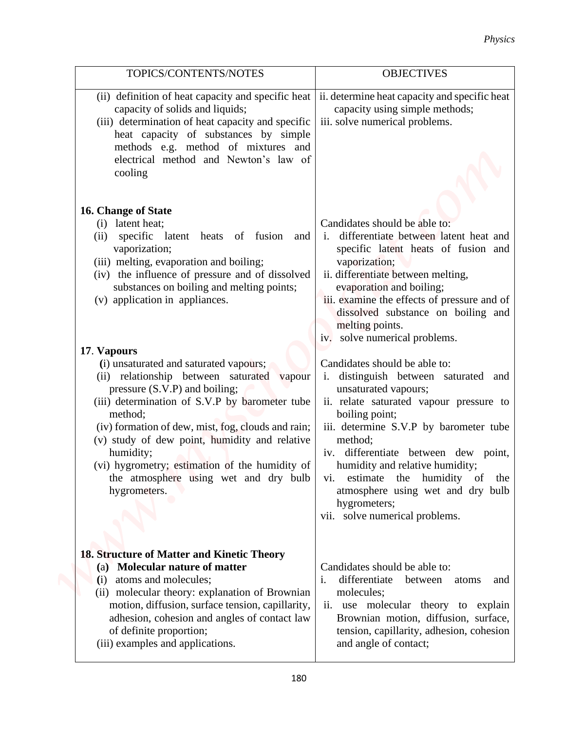|                                                                                                                                                                                                                                                                                                                                                                                                                                  | <b>Physics</b>                                                                                                                                                                                                                                                                                                                                                                                                        |
|----------------------------------------------------------------------------------------------------------------------------------------------------------------------------------------------------------------------------------------------------------------------------------------------------------------------------------------------------------------------------------------------------------------------------------|-----------------------------------------------------------------------------------------------------------------------------------------------------------------------------------------------------------------------------------------------------------------------------------------------------------------------------------------------------------------------------------------------------------------------|
| TOPICS/CONTENTS/NOTES                                                                                                                                                                                                                                                                                                                                                                                                            | <b>OBJECTIVES</b>                                                                                                                                                                                                                                                                                                                                                                                                     |
| (ii) definition of heat capacity and specific heat<br>capacity of solids and liquids;<br>(iii) determination of heat capacity and specific<br>heat capacity of substances by simple<br>methods e.g. method of mixtures and<br>electrical method and Newton's law of<br>cooling                                                                                                                                                   | ii. determine heat capacity and specific heat<br>capacity using simple methods;<br>iii. solve numerical problems.                                                                                                                                                                                                                                                                                                     |
| 16. Change of State<br>latent heat;<br>(i)<br>specific latent heats of fusion and<br>(i)<br>vaporization;<br>(iii) melting, evaporation and boiling;<br>(iv) the influence of pressure and of dissolved<br>substances on boiling and melting points;<br>(v) application in appliances.                                                                                                                                           | Candidates should be able to:<br>differentiate between latent heat and<br>$\mathbf{1}$ .<br>specific latent heats of fusion and<br>vaporization;<br>ii. differentiate between melting,<br>evaporation and boiling;<br>iii. examine the effects of pressure and of<br>dissolved substance on boiling and<br>melting points.<br>iv. solve numerical problems.                                                           |
| 17. Vapours<br>(i) unsaturated and saturated vapours;<br>(ii) relationship between saturated vapour<br>pressure (S.V.P) and boiling;<br>(iii) determination of S.V.P by barometer tube<br>method;<br>(iv) formation of dew, mist, fog, clouds and rain;<br>(v) study of dew point, humidity and relative<br>humidity;<br>(vi) hygrometry; estimation of the humidity of<br>the atmosphere using wet and dry bulb<br>hygrometers. | Candidates should be able to:<br>i. distinguish between saturated and<br>unsaturated vapours;<br>ii. relate saturated vapour pressure to<br>boiling point;<br>iii. determine S.V.P by barometer tube<br>method;<br>iv. differentiate between dew point,<br>humidity and relative humidity;<br>vi. estimate the humidity of the<br>atmosphere using wet and dry bulb<br>hygrometers;<br>vii. solve numerical problems. |
| 18. Structure of Matter and Kinetic Theory<br>Molecular nature of matter<br>(a)<br>atoms and molecules;<br>(i)<br>(ii) molecular theory: explanation of Brownian<br>motion, diffusion, surface tension, capillarity,<br>adhesion, cohesion and angles of contact law<br>of definite proportion;<br>(iii) examples and applications.                                                                                              | Candidates should be able to:<br>i.<br>differentiate<br>between atoms<br>and<br>molecules;<br>ii. use molecular theory to explain<br>Brownian motion, diffusion, surface,<br>tension, capillarity, adhesion, cohesion<br>and angle of contact;                                                                                                                                                                        |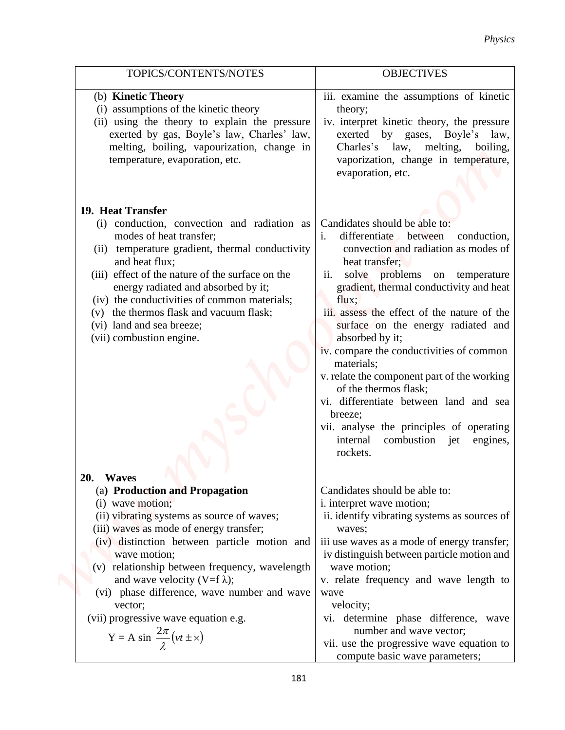|                                                                                                                                                                                                                                                                                                                                                                                            | <b>Physics</b>                                                                                                                                                                                                                                                                                                                                                                                                                                                                                                                                                                                                                     |
|--------------------------------------------------------------------------------------------------------------------------------------------------------------------------------------------------------------------------------------------------------------------------------------------------------------------------------------------------------------------------------------------|------------------------------------------------------------------------------------------------------------------------------------------------------------------------------------------------------------------------------------------------------------------------------------------------------------------------------------------------------------------------------------------------------------------------------------------------------------------------------------------------------------------------------------------------------------------------------------------------------------------------------------|
|                                                                                                                                                                                                                                                                                                                                                                                            |                                                                                                                                                                                                                                                                                                                                                                                                                                                                                                                                                                                                                                    |
| TOPICS/CONTENTS/NOTES                                                                                                                                                                                                                                                                                                                                                                      | <b>OBJECTIVES</b>                                                                                                                                                                                                                                                                                                                                                                                                                                                                                                                                                                                                                  |
| (b) Kinetic Theory                                                                                                                                                                                                                                                                                                                                                                         | iii. examine the assumptions of kinetic                                                                                                                                                                                                                                                                                                                                                                                                                                                                                                                                                                                            |
| (i) assumptions of the kinetic theory                                                                                                                                                                                                                                                                                                                                                      | theory;                                                                                                                                                                                                                                                                                                                                                                                                                                                                                                                                                                                                                            |
| (ii) using the theory to explain the pressure<br>exerted by gas, Boyle's law, Charles' law,<br>melting, boiling, vapourization, change in<br>temperature, evaporation, etc.                                                                                                                                                                                                                | iv. interpret kinetic theory, the pressure<br>exerted by gases, Boyle's law,<br>Charles's law, melting, boiling,<br>vaporization, change in temperature,<br>evaporation, etc.                                                                                                                                                                                                                                                                                                                                                                                                                                                      |
|                                                                                                                                                                                                                                                                                                                                                                                            |                                                                                                                                                                                                                                                                                                                                                                                                                                                                                                                                                                                                                                    |
| 19. Heat Transfer                                                                                                                                                                                                                                                                                                                                                                          |                                                                                                                                                                                                                                                                                                                                                                                                                                                                                                                                                                                                                                    |
| (i) conduction, convection and radiation as<br>modes of heat transfer;<br>(ii) temperature gradient, thermal conductivity<br>and heat flux;<br>(iii) effect of the nature of the surface on the<br>energy radiated and absorbed by it;<br>(iv) the conductivities of common materials;<br>(v) the thermos flask and vacuum flask;<br>(vi) land and sea breeze;<br>(vii) combustion engine. | Candidates should be able to:<br>differentiate between<br>conduction,<br>i.<br>convection and radiation as modes of<br>heat transfer;<br>solve problems on temperature<br>11.<br>gradient, thermal conductivity and heat<br>flux;<br>iii. assess the effect of the nature of the<br>surface on the energy radiated and<br>absorbed by it;<br>iv. compare the conductivities of common<br>materials;<br>v. relate the component part of the working<br>of the thermos flask;<br>vi. differentiate between land and sea<br>breeze;<br>vii. analyse the principles of operating<br>internal<br>combustion jet<br>engines,<br>rockets. |
|                                                                                                                                                                                                                                                                                                                                                                                            |                                                                                                                                                                                                                                                                                                                                                                                                                                                                                                                                                                                                                                    |
| 20. Waves                                                                                                                                                                                                                                                                                                                                                                                  | Candidates should be able to:                                                                                                                                                                                                                                                                                                                                                                                                                                                                                                                                                                                                      |
| (a) Production and Propagation<br>$(i)$ wave motion;                                                                                                                                                                                                                                                                                                                                       | i. interpret wave motion;                                                                                                                                                                                                                                                                                                                                                                                                                                                                                                                                                                                                          |
| (ii) vibrating systems as source of waves;<br>(iii) waves as mode of energy transfer;                                                                                                                                                                                                                                                                                                      | ii. identify vibrating systems as sources of<br>waves;                                                                                                                                                                                                                                                                                                                                                                                                                                                                                                                                                                             |
| (iv) distinction between particle motion and                                                                                                                                                                                                                                                                                                                                               | iii use waves as a mode of energy transfer;                                                                                                                                                                                                                                                                                                                                                                                                                                                                                                                                                                                        |
| wave motion;                                                                                                                                                                                                                                                                                                                                                                               | iv distinguish between particle motion and                                                                                                                                                                                                                                                                                                                                                                                                                                                                                                                                                                                         |
| (v) relationship between frequency, wavelength                                                                                                                                                                                                                                                                                                                                             | wave motion;                                                                                                                                                                                                                                                                                                                                                                                                                                                                                                                                                                                                                       |
| and wave velocity (V=f $\lambda$ );                                                                                                                                                                                                                                                                                                                                                        | v. relate frequency and wave length to                                                                                                                                                                                                                                                                                                                                                                                                                                                                                                                                                                                             |
| (vi) phase difference, wave number and wave                                                                                                                                                                                                                                                                                                                                                | wave                                                                                                                                                                                                                                                                                                                                                                                                                                                                                                                                                                                                                               |
| vector;<br>(vii) progressive wave equation e.g.                                                                                                                                                                                                                                                                                                                                            | velocity;<br>vi. determine phase difference, wave                                                                                                                                                                                                                                                                                                                                                                                                                                                                                                                                                                                  |
| Y = A sin $\frac{2\pi}{\lambda}(vt \pm x)$                                                                                                                                                                                                                                                                                                                                                 | number and wave vector;<br>vii. use the progressive wave equation to<br>compute basic wave parameters;                                                                                                                                                                                                                                                                                                                                                                                                                                                                                                                             |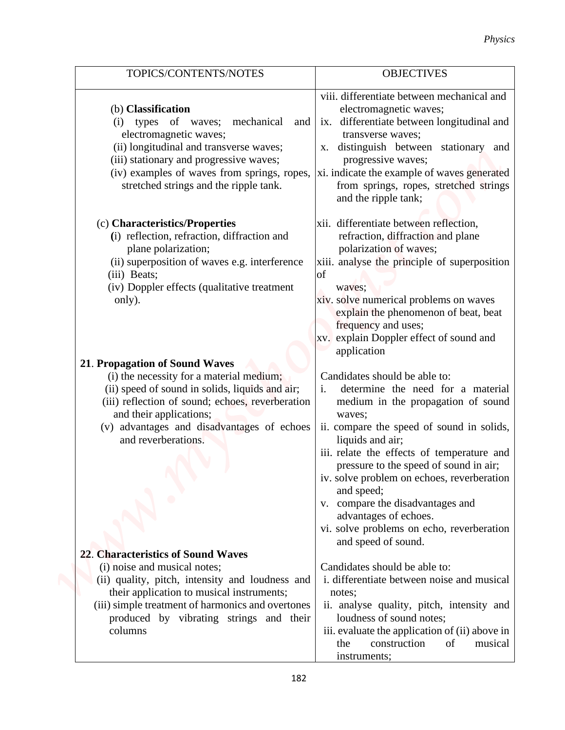|                                                                                                                                                                                                                                                                                   | <b>Physics</b>                                                                                                                                                                                                                                                                                                                                                                                                                                                                          |
|-----------------------------------------------------------------------------------------------------------------------------------------------------------------------------------------------------------------------------------------------------------------------------------|-----------------------------------------------------------------------------------------------------------------------------------------------------------------------------------------------------------------------------------------------------------------------------------------------------------------------------------------------------------------------------------------------------------------------------------------------------------------------------------------|
| TOPICS/CONTENTS/NOTES                                                                                                                                                                                                                                                             | <b>OBJECTIVES</b>                                                                                                                                                                                                                                                                                                                                                                                                                                                                       |
| (b) Classification<br>types of waves;<br>mechanical<br>(i)<br>and<br>electromagnetic waves;<br>(ii) longitudinal and transverse waves;<br>(iii) stationary and progressive waves;<br>(iv) examples of waves from springs, ropes,<br>stretched strings and the ripple tank.        | viii. differentiate between mechanical and<br>electromagnetic waves;<br>ix. differentiate between longitudinal and<br>transverse waves;<br>x. distinguish between stationary and<br>progressive waves;<br>xi. indicate the example of waves generated<br>from springs, ropes, stretched strings<br>and the ripple tank;                                                                                                                                                                 |
| (c) Characteristics/Properties<br>(i) reflection, refraction, diffraction and<br>plane polarization;<br>(ii) superposition of waves e.g. interference<br>(iii) Beats;<br>(iv) Doppler effects (qualitative treatment<br>only).                                                    | xii. differentiate between reflection,<br>refraction, diffraction and plane<br>polarization of waves;<br>xiii. analyse the principle of superposition<br>of<br>waves;<br>xiv. solve numerical problems on waves<br>explain the phenomenon of beat, beat<br>frequency and uses;<br>xv. explain Doppler effect of sound and                                                                                                                                                               |
| 21. Propagation of Sound Waves<br>(i) the necessity for a material medium;<br>(ii) speed of sound in solids, liquids and air;<br>(iii) reflection of sound; echoes, reverberation<br>and their applications;<br>(v) advantages and disadvantages of echoes<br>and reverberations. | application<br>Candidates should be able to:<br>determine the need for a material<br>medium in the propagation of sound<br>waves;<br>ii. compare the speed of sound in solids,<br>liquids and air;<br>iii. relate the effects of temperature and<br>pressure to the speed of sound in air;<br>iv. solve problem on echoes, reverberation<br>and speed;<br>v. compare the disadvantages and<br>advantages of echoes.<br>vi. solve problems on echo, reverberation<br>and speed of sound. |
| 22. Characteristics of Sound Waves<br>(i) noise and musical notes;<br>(ii) quality, pitch, intensity and loudness and<br>their application to musical instruments;<br>(iii) simple treatment of harmonics and overtones<br>produced by vibrating strings and their<br>columns     | Candidates should be able to:<br>i. differentiate between noise and musical<br>notes;<br>ii. analyse quality, pitch, intensity and<br>loudness of sound notes;<br>iii. evaluate the application of (ii) above in<br>construction<br>of<br>the<br>musical                                                                                                                                                                                                                                |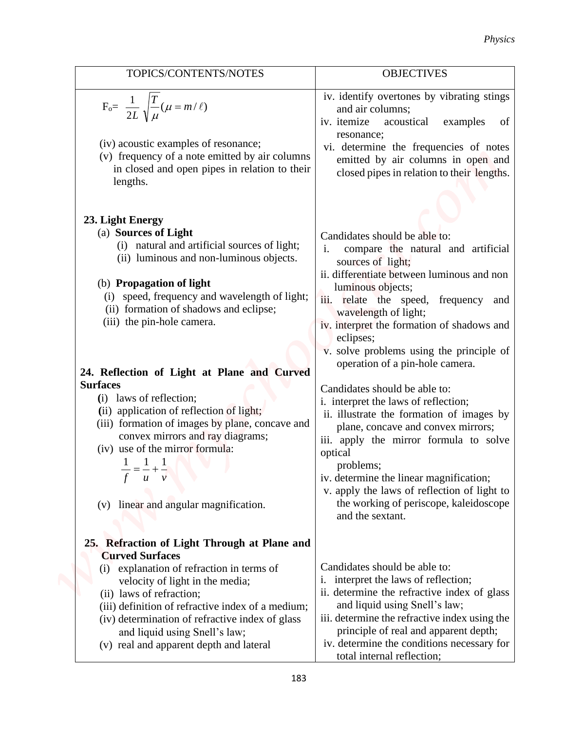|                                                                                                                                                                                                                                                                                                                                                                                                                                                                                                                                                                                                      | <b>Physics</b>                                                                                                                                                                                                                                                                                                                                                                                                                                                                                                                                                                                                                                                                                                                                                    |
|------------------------------------------------------------------------------------------------------------------------------------------------------------------------------------------------------------------------------------------------------------------------------------------------------------------------------------------------------------------------------------------------------------------------------------------------------------------------------------------------------------------------------------------------------------------------------------------------------|-------------------------------------------------------------------------------------------------------------------------------------------------------------------------------------------------------------------------------------------------------------------------------------------------------------------------------------------------------------------------------------------------------------------------------------------------------------------------------------------------------------------------------------------------------------------------------------------------------------------------------------------------------------------------------------------------------------------------------------------------------------------|
| TOPICS/CONTENTS/NOTES                                                                                                                                                                                                                                                                                                                                                                                                                                                                                                                                                                                | <b>OBJECTIVES</b>                                                                                                                                                                                                                                                                                                                                                                                                                                                                                                                                                                                                                                                                                                                                                 |
| $F_o = \frac{1}{2L} \sqrt{\frac{T}{\mu}} (\mu = m/\ell)$<br>(iv) acoustic examples of resonance;<br>(v) frequency of a note emitted by air columns<br>in closed and open pipes in relation to their                                                                                                                                                                                                                                                                                                                                                                                                  | iv. identify overtones by vibrating stings<br>and air columns;<br>iv. itemize<br>acoustical<br>examples<br>of<br>resonance;<br>vi. determine the frequencies of notes<br>emitted by air columns in open and                                                                                                                                                                                                                                                                                                                                                                                                                                                                                                                                                       |
| lengths.                                                                                                                                                                                                                                                                                                                                                                                                                                                                                                                                                                                             | closed pipes in relation to their lengths.                                                                                                                                                                                                                                                                                                                                                                                                                                                                                                                                                                                                                                                                                                                        |
| 23. Light Energy<br>(a) Sources of Light<br>(i) natural and artificial sources of light;<br>(ii) luminous and non-luminous objects.<br>(b) Propagation of light<br>(i) speed, frequency and wavelength of light;<br>(ii) formation of shadows and eclipse;<br>(iii) the pin-hole camera.<br>24. Reflection of Light at Plane and Curved<br><b>Surfaces</b><br>(i) laws of reflection;<br>(ii) application of reflection of light;<br>(iii) formation of images by plane, concave and<br>convex mirrors and ray diagrams;<br>(iv) use of the mirror formula:<br>(v) linear and angular magnification. | Candidates should be able to:<br>compare the natural and artificial<br>i.<br>sources of light;<br>ii. differentiate between luminous and non<br>luminous objects;<br>iii. relate the speed, frequency and<br>wavelength of light;<br>iv. interpret the formation of shadows and<br>eclipses;<br>v. solve problems using the principle of<br>operation of a pin-hole camera.<br>Candidates should be able to:<br>i. interpret the laws of reflection;<br>ii. illustrate the formation of images by<br>plane, concave and convex mirrors;<br>iii. apply the mirror formula to solve<br>optical<br>problems;<br>iv. determine the linear magnification;<br>v. apply the laws of reflection of light to<br>the working of periscope, kaleidoscope<br>and the sextant. |
| 25. Refraction of Light Through at Plane and<br><b>Curved Surfaces</b><br>(i) explanation of refraction in terms of                                                                                                                                                                                                                                                                                                                                                                                                                                                                                  | Candidates should be able to:                                                                                                                                                                                                                                                                                                                                                                                                                                                                                                                                                                                                                                                                                                                                     |
| velocity of light in the media;<br>(ii) laws of refraction;<br>(iii) definition of refractive index of a medium;<br>(iv) determination of refractive index of glass<br>and liquid using Snell's law;<br>(v) real and apparent depth and lateral                                                                                                                                                                                                                                                                                                                                                      | i. interpret the laws of reflection;<br>ii. determine the refractive index of glass<br>and liquid using Snell's law;<br>iii. determine the refractive index using the<br>principle of real and apparent depth;<br>iv. determine the conditions necessary for<br>total internal reflection;                                                                                                                                                                                                                                                                                                                                                                                                                                                                        |

183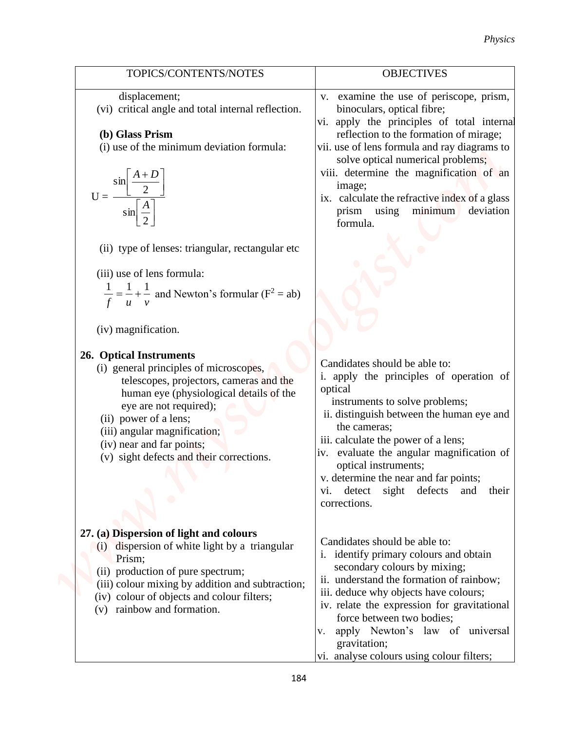|                                                                                                                                                                                                                                                                                                                                                                                                                                                                                                                                                                                                                                                                                                                                                            | Physics                                                                                                                                                                                                                                                                                                                                                                                                                                                                                                                                                                                                                                                                                                                                                                                                               |
|------------------------------------------------------------------------------------------------------------------------------------------------------------------------------------------------------------------------------------------------------------------------------------------------------------------------------------------------------------------------------------------------------------------------------------------------------------------------------------------------------------------------------------------------------------------------------------------------------------------------------------------------------------------------------------------------------------------------------------------------------------|-----------------------------------------------------------------------------------------------------------------------------------------------------------------------------------------------------------------------------------------------------------------------------------------------------------------------------------------------------------------------------------------------------------------------------------------------------------------------------------------------------------------------------------------------------------------------------------------------------------------------------------------------------------------------------------------------------------------------------------------------------------------------------------------------------------------------|
| TOPICS/CONTENTS/NOTES                                                                                                                                                                                                                                                                                                                                                                                                                                                                                                                                                                                                                                                                                                                                      | <b>OBJECTIVES</b>                                                                                                                                                                                                                                                                                                                                                                                                                                                                                                                                                                                                                                                                                                                                                                                                     |
| displacement;<br>(vi) critical angle and total internal reflection.<br>(b) Glass Prism<br>(i) use of the minimum deviation formula:<br>$\sin \left  \frac{A+D}{A+D} \right $<br>$\frac{\boxed{2}}{\sin \boxed{A}}$<br>$U = -$<br>(ii) type of lenses: triangular, rectangular etc<br>(iii) use of lens formula:<br>$\frac{1}{a} =$ $\frac{1}{a}$ + $\frac{1}{a}$ and Newton's formular (F <sup>2</sup> = ab)<br>(iv) magnification.<br>26. Optical Instruments<br>(i) general principles of microscopes,<br>telescopes, projectors, cameras and the<br>human eye (physiological details of the<br>eye are not required);<br>(ii) power of a lens;<br>(iii) angular magnification;<br>(iv) near and far points;<br>(v) sight defects and their corrections. | v. examine the use of periscope, prism,<br>binoculars, optical fibre;<br>vi. apply the principles of total internal<br>reflection to the formation of mirage;<br>vii. use of lens formula and ray diagrams to<br>solve optical numerical problems;<br>viii. determine the magnification of an<br>image;<br>ix. calculate the refractive index of a glass<br>minimum<br>deviation<br>prism using<br>formula.<br>Candidates should be able to:<br>i. apply the principles of operation of<br>optical<br>instruments to solve problems;<br>ii. distinguish between the human eye and<br>the cameras;<br>iii. calculate the power of a lens;<br>iv. evaluate the angular magnification of<br>optical instruments;<br>v. determine the near and far points;<br>detect sight defects<br>and<br>their<br>vi.<br>corrections. |
| 27. (a) Dispersion of light and colours<br>dispersion of white light by a triangular<br>(1)<br>Prism;<br>(ii) production of pure spectrum;<br>(iii) colour mixing by addition and subtraction;<br>(iv) colour of objects and colour filters;<br>rainbow and formation.<br>(v)                                                                                                                                                                                                                                                                                                                                                                                                                                                                              | Candidates should be able to:<br>i. identify primary colours and obtain<br>secondary colours by mixing;<br>ii. understand the formation of rainbow;<br>iii. deduce why objects have colours;<br>iv. relate the expression for gravitational<br>force between two bodies;<br>apply Newton's law of universal<br>V.                                                                                                                                                                                                                                                                                                                                                                                                                                                                                                     |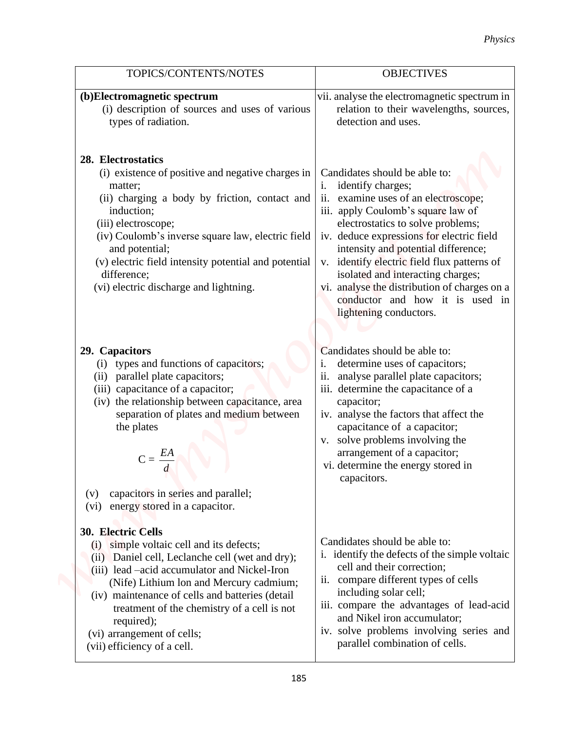|                                                                                                                                                                                                                                                                                                                                                                                                      | <b>Physics</b>                                                                                                                                                                                                                                                                                                                                                                                                                                                      |
|------------------------------------------------------------------------------------------------------------------------------------------------------------------------------------------------------------------------------------------------------------------------------------------------------------------------------------------------------------------------------------------------------|---------------------------------------------------------------------------------------------------------------------------------------------------------------------------------------------------------------------------------------------------------------------------------------------------------------------------------------------------------------------------------------------------------------------------------------------------------------------|
| TOPICS/CONTENTS/NOTES                                                                                                                                                                                                                                                                                                                                                                                | <b>OBJECTIVES</b>                                                                                                                                                                                                                                                                                                                                                                                                                                                   |
| (b)Electromagnetic spectrum<br>(i) description of sources and uses of various<br>types of radiation.                                                                                                                                                                                                                                                                                                 | vii. analyse the electromagnetic spectrum in<br>relation to their wavelengths, sources,<br>detection and uses.                                                                                                                                                                                                                                                                                                                                                      |
| 28. Electrostatics<br>(i) existence of positive and negative charges in<br>matter;<br>(ii) charging a body by friction, contact and<br>induction;<br>(iii) electroscope;<br>(iv) Coulomb's inverse square law, electric field<br>and potential;<br>(v) electric field intensity potential and potential<br>difference;<br>(vi) electric discharge and lightning.                                     | Candidates should be able to:<br>identify charges;<br>1.<br>examine uses of an electroscope;<br>ii.<br>iii. apply Coulomb's square law of<br>electrostatics to solve problems;<br>iv. deduce expressions for electric field<br>intensity and potential difference;<br>v. identify electric field flux patterns of<br>isolated and interacting charges;<br>vi. analyse the distribution of charges on a<br>conductor and how it is used in<br>lightening conductors. |
| 29. Capacitors<br>types and functions of capacitors;<br>(ii) parallel plate capacitors;<br>(iii) capacitance of a capacitor;<br>(iv) the relationship between capacitance, area<br>separation of plates and medium between<br>the plates<br>$C = \frac{EA}{d}$<br>capacitors in series and parallel;<br>(v)<br>energy stored in a capacitor.<br>$(v_i)$                                              | Candidates should be able to:<br>determine uses of capacitors;<br>i.<br>analyse parallel plate capacitors;<br>11.<br>iii. determine the capacitance of a<br>capacitor;<br>iv. analyse the factors that affect the<br>capacitance of a capacitor;<br>v. solve problems involving the<br>arrangement of a capacitor;<br>vi. determine the energy stored in<br>capacitors.                                                                                             |
| <b>30. Electric Cells</b><br>simple voltaic cell and its defects;<br>(i)<br>(ii) Daniel cell, Leclanche cell (wet and dry);<br>(iii) lead –acid accumulator and Nickel-Iron<br>(Nife) Lithium lon and Mercury cadmium;<br>(iv) maintenance of cells and batteries (detail)<br>treatment of the chemistry of a cell is not<br>required);<br>(vi) arrangement of cells;<br>(vii) efficiency of a cell. | Candidates should be able to:<br>i. identify the defects of the simple voltaic<br>cell and their correction;<br>ii. compare different types of cells<br>including solar cell;<br>iii. compare the advantages of lead-acid<br>and Nikel iron accumulator;<br>iv. solve problems involving series and<br>parallel combination of cells.                                                                                                                               |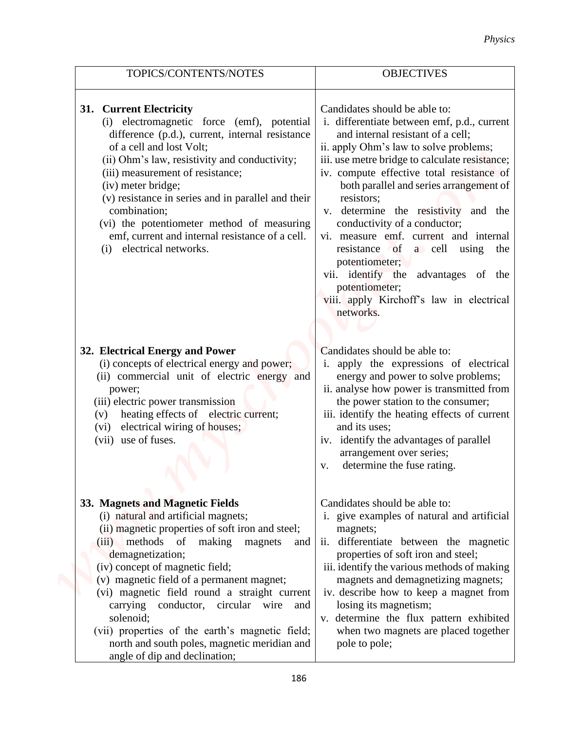|                                                                                                                                                                                                                                                                                                                                                                                                                                                                                                                    | <b>Physics</b>                                                                                                                                                                                                                                                                                                                                                                                                                                                                                                                                                                                             |
|--------------------------------------------------------------------------------------------------------------------------------------------------------------------------------------------------------------------------------------------------------------------------------------------------------------------------------------------------------------------------------------------------------------------------------------------------------------------------------------------------------------------|------------------------------------------------------------------------------------------------------------------------------------------------------------------------------------------------------------------------------------------------------------------------------------------------------------------------------------------------------------------------------------------------------------------------------------------------------------------------------------------------------------------------------------------------------------------------------------------------------------|
| TOPICS/CONTENTS/NOTES                                                                                                                                                                                                                                                                                                                                                                                                                                                                                              | <b>OBJECTIVES</b>                                                                                                                                                                                                                                                                                                                                                                                                                                                                                                                                                                                          |
| 31. Current Electricity<br>(i) electromagnetic force (emf), potential<br>difference (p.d.), current, internal resistance<br>of a cell and lost Volt;<br>(ii) Ohm's law, resistivity and conductivity;<br>(iii) measurement of resistance;<br>(iv) meter bridge;<br>(v) resistance in series and in parallel and their<br>combination;<br>(vi) the potentiometer method of measuring<br>emf, current and internal resistance of a cell.<br>electrical networks.<br>(i)                                              | Candidates should be able to:<br>i. differentiate between emf, p.d., current<br>and internal resistant of a cell;<br>ii. apply Ohm's law to solve problems;<br>iii. use metre bridge to calculate resistance;<br>iv. compute effective total resistance of<br>both parallel and series arrangement of<br>resistors;<br>v. determine the resistivity and the<br>conductivity of a conductor;<br>vi. measure emf. current and internal<br>resistance of a cell using the<br>potentiometer;<br>vii. identify the advantages of the<br>potentiometer;<br>viii. apply Kirchoff's law in electrical<br>networks. |
| 32. Electrical Energy and Power<br>(i) concepts of electrical energy and power;<br>(ii) commercial unit of electric energy and<br>power;<br>(iii) electric power transmission<br>heating effects of electric current;<br>(v)<br>electrical wiring of houses;<br>(vi)<br>(vii) use of fuses.                                                                                                                                                                                                                        | Candidates should be able to:<br>i. apply the expressions of electrical<br>energy and power to solve problems;<br>ii. analyse how power is transmitted from<br>the power station to the consumer;<br>iii. identify the heating effects of current<br>and its uses;<br>iv. identify the advantages of parallel<br>arrangement over series;<br>determine the fuse rating.<br>V.                                                                                                                                                                                                                              |
| 33. Magnets and Magnetic Fields<br>(i) natural and artificial magnets;<br>(ii) magnetic properties of soft iron and steel;<br>(iii) methods of making magnets<br>and<br>demagnetization;<br>(iv) concept of magnetic field;<br>(v) magnetic field of a permanent magnet;<br>(vi) magnetic field round a straight current<br>carrying conductor, circular wire and<br>solenoid;<br>(vii) properties of the earth's magnetic field;<br>north and south poles, magnetic meridian and<br>angle of dip and declination; | Candidates should be able to:<br>i. give examples of natural and artificial<br>magnets;<br>ii. differentiate between the magnetic<br>properties of soft iron and steel;<br>iii. identify the various methods of making<br>magnets and demagnetizing magnets;<br>iv. describe how to keep a magnet from<br>losing its magnetism;<br>v. determine the flux pattern exhibited<br>when two magnets are placed together<br>pole to pole;                                                                                                                                                                        |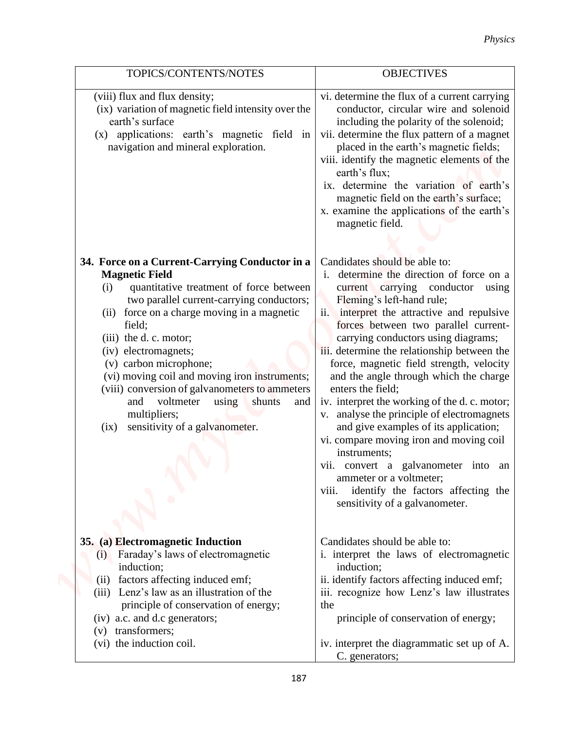|                                                                                                                                                                                                                                                                                                                                                                                                                                                                                                                           | <b>Physics</b>                                                                                                                                                                                                                                                                                                                                                                                                                                                                                                                                                                                                                                                                                                                                                                             |
|---------------------------------------------------------------------------------------------------------------------------------------------------------------------------------------------------------------------------------------------------------------------------------------------------------------------------------------------------------------------------------------------------------------------------------------------------------------------------------------------------------------------------|--------------------------------------------------------------------------------------------------------------------------------------------------------------------------------------------------------------------------------------------------------------------------------------------------------------------------------------------------------------------------------------------------------------------------------------------------------------------------------------------------------------------------------------------------------------------------------------------------------------------------------------------------------------------------------------------------------------------------------------------------------------------------------------------|
| TOPICS/CONTENTS/NOTES                                                                                                                                                                                                                                                                                                                                                                                                                                                                                                     | <b>OBJECTIVES</b>                                                                                                                                                                                                                                                                                                                                                                                                                                                                                                                                                                                                                                                                                                                                                                          |
| (viii) flux and flux density;<br>(ix) variation of magnetic field intensity over the<br>earth's surface<br>(x) applications: earth's magnetic field in<br>navigation and mineral exploration.                                                                                                                                                                                                                                                                                                                             | vi. determine the flux of a current carrying<br>conductor, circular wire and solenoid<br>including the polarity of the solenoid;<br>vii. determine the flux pattern of a magnet<br>placed in the earth's magnetic fields;<br>viii. identify the magnetic elements of the<br>earth's flux;<br>ix. determine the variation of earth's<br>magnetic field on the earth's surface;<br>x. examine the applications of the earth's<br>magnetic field.                                                                                                                                                                                                                                                                                                                                             |
| 34. Force on a Current-Carrying Conductor in a<br><b>Magnetic Field</b><br>quantitative treatment of force between<br>(i)<br>two parallel current-carrying conductors;<br>force on a charge moving in a magnetic<br>(ii)<br>field;<br>(iii) the d. c. motor;<br>(iv) electromagnets;<br>(v) carbon microphone;<br>(vi) moving coil and moving iron instruments;<br>(viii) conversion of galvanometers to ammeters<br>shunts<br>voltmeter<br>using<br>and<br>and<br>multipliers;<br>sensitivity of a galvanometer.<br>(ix) | Candidates should be able to:<br>determine the direction of force on a<br>1.<br>current carrying conductor using<br>Fleming's left-hand rule;<br>ii. interpret the attractive and repulsive<br>forces between two parallel current-<br>carrying conductors using diagrams;<br>iii. determine the relationship between the<br>force, magnetic field strength, velocity<br>and the angle through which the charge<br>enters the field;<br>iv. interpret the working of the d. c. motor;<br>v. analyse the principle of electromagnets<br>and give examples of its application;<br>vi. compare moving iron and moving coil<br>instruments;<br>vii. convert a galvanometer into an<br>ammeter or a voltmeter;<br>identify the factors affecting the<br>V111.<br>sensitivity of a galvanometer. |
| 35. (a) Electromagnetic Induction<br>Faraday's laws of electromagnetic<br>(i)<br>induction;<br>factors affecting induced emf;<br>(ii)<br>(iii) Lenz's law as an illustration of the<br>principle of conservation of energy;<br>(iv) a.c. and d.c generators;<br>(v) transformers;<br>(vi) the induction coil.                                                                                                                                                                                                             | Candidates should be able to:<br>i. interpret the laws of electromagnetic<br>induction;<br>ii. identify factors affecting induced emf;<br>iii. recognize how Lenz's law illustrates<br>the<br>principle of conservation of energy;<br>iv. interpret the diagrammatic set up of A.                                                                                                                                                                                                                                                                                                                                                                                                                                                                                                          |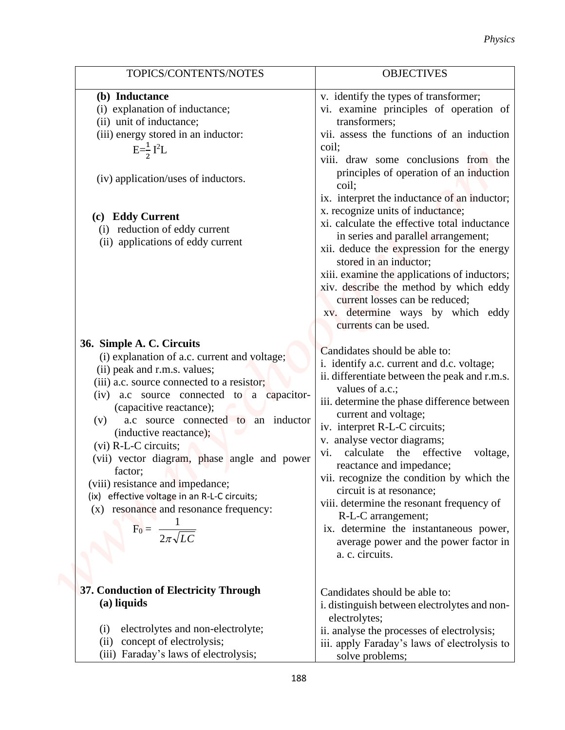|                                                                | Physics                                                                          |
|----------------------------------------------------------------|----------------------------------------------------------------------------------|
| TOPICS/CONTENTS/NOTES                                          | <b>OBJECTIVES</b>                                                                |
| (b) Inductance                                                 | v. identify the types of transformer;                                            |
| (i) explanation of inductance;                                 | vi. examine principles of operation of                                           |
| (ii) unit of inductance;                                       | transformers;                                                                    |
| (iii) energy stored in an inductor:                            | vii. assess the functions of an induction                                        |
| $E=\frac{1}{2}I^2L$                                            | coil;                                                                            |
|                                                                | viii. draw some conclusions from the                                             |
| (iv) application/uses of inductors.                            | principles of operation of an induction<br>coil;                                 |
|                                                                | ix. interpret the inductance of an inductor;                                     |
| <b>Eddy Current</b><br>(c)                                     | x. recognize units of inductance;                                                |
| reduction of eddy current<br>(i)                               | xi. calculate the effective total inductance                                     |
| (ii) applications of eddy current                              | in series and parallel arrangement;<br>xii. deduce the expression for the energy |
|                                                                | stored in an inductor;                                                           |
|                                                                | xiii. examine the applications of inductors;                                     |
|                                                                | xiv. describe the method by which eddy                                           |
|                                                                | current losses can be reduced;                                                   |
|                                                                | xv. determine ways by which eddy                                                 |
|                                                                | currents can be used.                                                            |
| 36. Simple A. C. Circuits                                      | Candidates should be able to:                                                    |
| (i) explanation of a.c. current and voltage;                   | i. identify a.c. current and d.c. voltage;                                       |
| (ii) peak and r.m.s. values;                                   | ii. differentiate between the peak and r.m.s.                                    |
| (iii) a.c. source connected to a resistor;                     | values of a.c.;                                                                  |
| a.c source connected to a capacitor-<br>(iv)                   | iii. determine the phase difference between                                      |
| (capacitive reactance);<br>a.c source connected to an inductor | current and voltage;                                                             |
| (v)<br>(inductive reactance);                                  | iv. interpret R-L-C circuits;                                                    |
| $(vi)$ R-L-C circuits;                                         | v. analyse vector diagrams;                                                      |
| (vii) vector diagram, phase angle and power                    | vi. calculate the effective<br>voltage,                                          |
| factor;                                                        | reactance and impedance;                                                         |
| (viii) resistance and impedance;                               | vii. recognize the condition by which the                                        |
| (ix) effective voltage in an R-L-C circuits;                   | circuit is at resonance;<br>viii. determine the resonant frequency of            |
| (x) resonance and resonance frequency:                         | R-L-C arrangement;                                                               |
| $F_0 = \frac{1}{2\pi\sqrt{LC}}$                                | ix. determine the instantaneous power,                                           |
|                                                                | average power and the power factor in                                            |
|                                                                | a. c. circuits.                                                                  |
|                                                                |                                                                                  |
| 37. Conduction of Electricity Through                          |                                                                                  |
| (a) liquids                                                    | Candidates should be able to:<br>i. distinguish between electrolytes and non-    |
|                                                                | electrolytes;                                                                    |
| electrolytes and non-electrolyte;<br>(1)                       | ii. analyse the processes of electrolysis;                                       |
| (ii) concept of electrolysis;                                  | iii. apply Faraday's laws of electrolysis to                                     |
| (iii) Faraday's laws of electrolysis;                          | solve problems;                                                                  |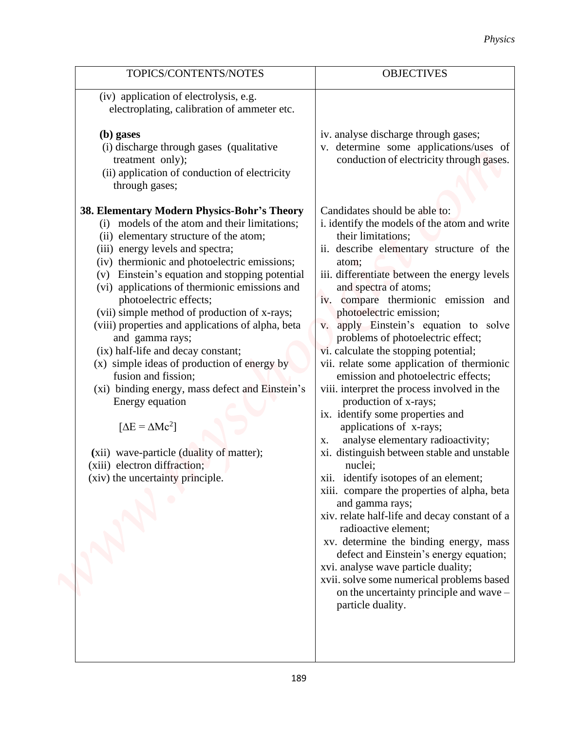| TOPICS/CONTENTS/NOTES                                                                                                                                                                                                                                                                                                                                                                                                                                                                                                                                                                                                                                                                                                                                                                                                                                                                                                                                           | <b>OBJECTIVES</b>                                                                                                                                                                                                                                                                                                                                                                                                                                                                                                                                                                                                                                                                                                                                                                                                                                                                                                                                                                                                                                                                                                                                                                                                                                                                                                     |
|-----------------------------------------------------------------------------------------------------------------------------------------------------------------------------------------------------------------------------------------------------------------------------------------------------------------------------------------------------------------------------------------------------------------------------------------------------------------------------------------------------------------------------------------------------------------------------------------------------------------------------------------------------------------------------------------------------------------------------------------------------------------------------------------------------------------------------------------------------------------------------------------------------------------------------------------------------------------|-----------------------------------------------------------------------------------------------------------------------------------------------------------------------------------------------------------------------------------------------------------------------------------------------------------------------------------------------------------------------------------------------------------------------------------------------------------------------------------------------------------------------------------------------------------------------------------------------------------------------------------------------------------------------------------------------------------------------------------------------------------------------------------------------------------------------------------------------------------------------------------------------------------------------------------------------------------------------------------------------------------------------------------------------------------------------------------------------------------------------------------------------------------------------------------------------------------------------------------------------------------------------------------------------------------------------|
| (iv) application of electrolysis, e.g.<br>electroplating, calibration of ammeter etc.                                                                                                                                                                                                                                                                                                                                                                                                                                                                                                                                                                                                                                                                                                                                                                                                                                                                           |                                                                                                                                                                                                                                                                                                                                                                                                                                                                                                                                                                                                                                                                                                                                                                                                                                                                                                                                                                                                                                                                                                                                                                                                                                                                                                                       |
| (b) gases<br>(i) discharge through gases (qualitative<br>treatment only);<br>(ii) application of conduction of electricity<br>through gases;<br>38. Elementary Modern Physics-Bohr's Theory<br>(i) models of the atom and their limitations;<br>(ii) elementary structure of the atom;<br>(iii) energy levels and spectra;<br>(iv) thermionic and photoelectric emissions;<br>(v) Einstein's equation and stopping potential<br>(vi) applications of thermionic emissions and<br>photoelectric effects;<br>(vii) simple method of production of x-rays;<br>(viii) properties and applications of alpha, beta<br>and gamma rays;<br>(ix) half-life and decay constant;<br>(x) simple ideas of production of energy by<br>fusion and fission;<br>(xi) binding energy, mass defect and Einstein's<br>Energy equation<br>$[\Delta E = \Delta Mc^2]$<br>(xii) wave-particle (duality of matter);<br>(xiii) electron diffraction;<br>(xiv) the uncertainty principle. | iv. analyse discharge through gases;<br>v. determine some applications/uses of<br>conduction of electricity through gases.<br>Candidates should be able to:<br>i. identify the models of the atom and write<br>their limitations;<br>ii. describe elementary structure of the<br>atom;<br>iii. differentiate between the energy levels<br>and spectra of atoms;<br>iv. compare thermionic emission and<br>photoelectric emission;<br>v. apply Einstein's equation to solve<br>problems of photoelectric effect;<br>vi. calculate the stopping potential;<br>vii. relate some application of thermionic<br>emission and photoelectric effects;<br>viii. interpret the process involved in the<br>production of x-rays;<br>ix. identify some properties and<br>applications of x-rays;<br>analyse elementary radioactivity;<br>X.<br>xi. distinguish between stable and unstable<br>nuclei;<br>xii. identify isotopes of an element;<br>xiii. compare the properties of alpha, beta<br>and gamma rays;<br>xiv. relate half-life and decay constant of a<br>radioactive element;<br>xv. determine the binding energy, mass<br>defect and Einstein's energy equation;<br>xvi. analyse wave particle duality;<br>xvii. solve some numerical problems based<br>on the uncertainty principle and wave -<br>particle duality. |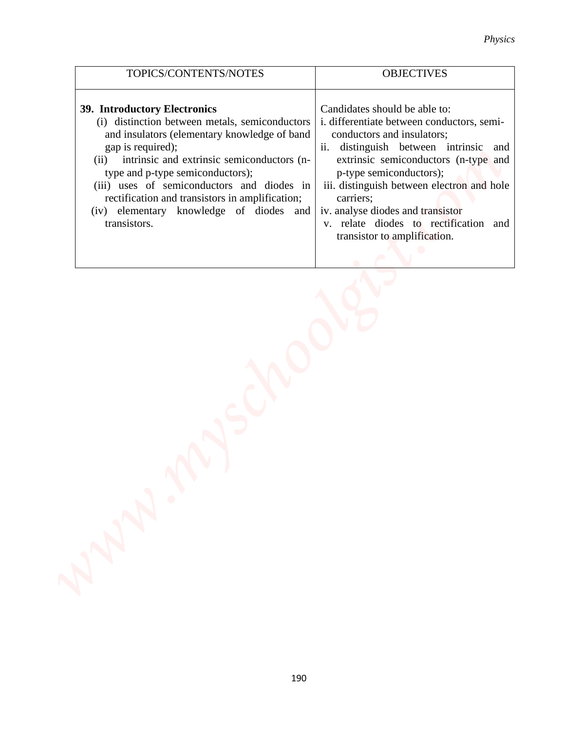| TOPICS/CONTENTS/NOTES                                                                                                                                                                                                                                                                                                                                                                                     | <b>OBJECTIVES</b>                                                                                                                                                                                                                                                                                                                                                                                 |
|-----------------------------------------------------------------------------------------------------------------------------------------------------------------------------------------------------------------------------------------------------------------------------------------------------------------------------------------------------------------------------------------------------------|---------------------------------------------------------------------------------------------------------------------------------------------------------------------------------------------------------------------------------------------------------------------------------------------------------------------------------------------------------------------------------------------------|
| 39. Introductory Electronics<br>(i) distinction between metals, semiconductors<br>and insulators (elementary knowledge of band<br>gap is required);<br>intrinsic and extrinsic semiconductors (n-<br>(ii)<br>type and p-type semiconductors);<br>(iii) uses of semiconductors and diodes in<br>rectification and transistors in amplification;<br>(iv) elementary knowledge of diodes and<br>transistors. | Candidates should be able to:<br>i. differentiate between conductors, semi-<br>conductors and insulators;<br>ii. distinguish between intrinsic and<br>extrinsic semiconductors (n-type and<br>p-type semiconductors);<br>iii. distinguish between electron and hole<br>carriers;<br>iv. analyse diodes and transistor<br>v. relate diodes to rectification<br>and<br>transistor to amplification. |
|                                                                                                                                                                                                                                                                                                                                                                                                           |                                                                                                                                                                                                                                                                                                                                                                                                   |